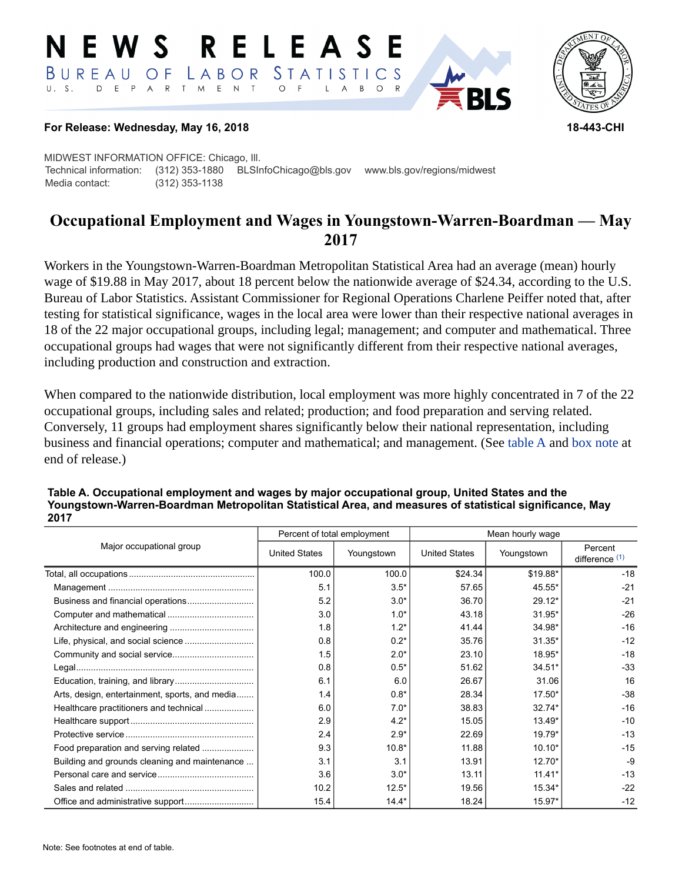#### RELEASE E W S LABOR STATISTICS BUREAU OF D E P A R T M E N T  $\circ$  $U. S.$  $\overline{F}$  $\mathsf{L}$  $\overline{A}$  $B$  $\circ$



### **For Release: Wednesday, May 16, 2018 18-443-CHI**

MIDWEST INFORMATION OFFICE: Chicago, Ill. Technical information: (312) 353-1880 BLSInfoChicago@bls.gov www.bls.gov/regions/midwest Media contact: (312) 353-1138

# **Occupational Employment and Wages in Youngstown-Warren-Boardman — May 2017**

Workers in the Youngstown-Warren-Boardman Metropolitan Statistical Area had an average (mean) hourly wage of \$19.88 in May 2017, about 18 percent below the nationwide average of \$24.34, according to the U.S. Bureau of Labor Statistics. Assistant Commissioner for Regional Operations Charlene Peiffer noted that, after testing for statistical significance, wages in the local area were lower than their respective national averages in 18 of the 22 major occupational groups, including legal; management; and computer and mathematical. Three occupational groups had wages that were not significantly different from their respective national averages, including production and construction and extraction.

When compared to the nationwide distribution, local employment was more highly concentrated in 7 of the 22 occupational groups, including sales and related; production; and food preparation and serving related. Conversely, 11 groups had employment shares significantly below their national representation, including business and financial operations; computer and mathematical; and management. (See table A and [box note](#page-2-0) at end of release.)

|                                                |                      | Percent of total employment | Mean hourly wage     |            |                             |  |
|------------------------------------------------|----------------------|-----------------------------|----------------------|------------|-----------------------------|--|
| Major occupational group                       | <b>United States</b> | Youngstown                  | <b>United States</b> | Youngstown | Percent<br>difference $(1)$ |  |
|                                                | 100.0                | 100.0                       | \$24.34              | \$19.88*   | $-18$                       |  |
|                                                | 5.1                  | $3.5*$                      | 57.65                | 45.55*     | $-21$                       |  |
|                                                | 5.2                  | $3.0*$                      | 36.70                | $29.12*$   | $-21$                       |  |
|                                                | 3.0                  | $1.0*$                      | 43.18                | 31.95*     | $-26$                       |  |
|                                                | 1.8                  | $1.2*$                      | 41.44                | 34.98*     | $-16$                       |  |
|                                                | 0.8                  | $0.2*$                      | 35.76                | $31.35*$   | $-12$                       |  |
|                                                | 1.5                  | $2.0*$                      | 23.10                | 18.95*     | $-18$                       |  |
|                                                | 0.8                  | $0.5*$                      | 51.62                | $34.51*$   | $-33$                       |  |
|                                                | 6.1                  | 6.0                         | 26.67                | 31.06      | 16                          |  |
| Arts, design, entertainment, sports, and media | 1.4                  | $0.8*$                      | 28.34                | 17.50*     | $-38$                       |  |
| Healthcare practitioners and technical         | 6.0                  | $7.0*$                      | 38.83                | $32.74*$   | $-16$                       |  |
|                                                | 2.9                  | $4.2*$                      | 15.05                | 13.49*     | $-10$                       |  |
|                                                | 2.4                  | $2.9*$                      | 22.69                | 19.79*     | $-13$                       |  |
| Food preparation and serving related           | 9.3                  | $10.8*$                     | 11.88                | $10.10*$   | $-15$                       |  |
| Building and grounds cleaning and maintenance  | 3.1                  | 3.1                         | 13.91                | $12.70*$   | $-9$                        |  |
|                                                | 3.6                  | $3.0*$                      | 13.11                | $11.41*$   | $-13$                       |  |
|                                                | 10.2                 | $12.5*$                     | 19.56                | 15.34*     | $-22$                       |  |
|                                                | 15.4                 | $14.4*$                     | 18.24                | 15.97*     | $-12$                       |  |

### **Table A. Occupational employment and wages by major occupational group, United States and the Youngstown-Warren-Boardman Metropolitan Statistical Area, and measures of statistical significance, May 2017**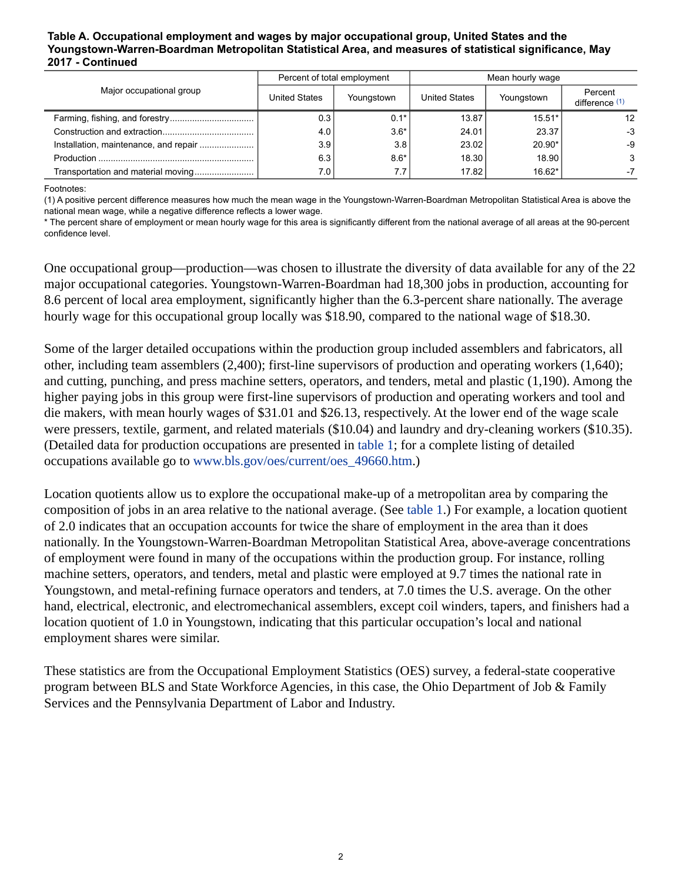### **Table A. Occupational employment and wages by major occupational group, United States and the Youngstown-Warren-Boardman Metropolitan Statistical Area, and measures of statistical significance, May 2017 - Continued**

|                                       | Percent of total employment |            | Mean hourly wage |            |                           |
|---------------------------------------|-----------------------------|------------|------------------|------------|---------------------------|
| Major occupational group              | <b>United States</b>        | Youngstown | United States    | Youngstown | Percent<br>difference (1) |
|                                       | 0.3                         | $0.1*$     | 13.87            | $15.51*$   | 12                        |
|                                       | 4.0                         | $3.6*$     | 24.01            | 23.37      | $-3$                      |
| Installation, maintenance, and repair | 3.9                         | 3.8        | 23.02            | 20.90*     | -9                        |
|                                       | 6.3                         | $8.6*$     | 18.30            | 18.90      | 3                         |
| Transportation and material moving    | 7.0                         | 7.7        | 17.82            | $16.62*$   | -7                        |

<span id="page-1-0"></span>Footnotes:

(1) A positive percent difference measures how much the mean wage in the Youngstown-Warren-Boardman Metropolitan Statistical Area is above the national mean wage, while a negative difference reflects a lower wage.

\* The percent share of employment or mean hourly wage for this area is significantly different from the national average of all areas at the 90-percent confidence level.

One occupational group—production—was chosen to illustrate the diversity of data available for any of the 22 major occupational categories. Youngstown-Warren-Boardman had 18,300 jobs in production, accounting for 8.6 percent of local area employment, significantly higher than the 6.3-percent share nationally. The average hourly wage for this occupational group locally was \$18.90, compared to the national wage of \$18.30.

Some of the larger detailed occupations within the production group included assemblers and fabricators, all other, including team assemblers (2,400); first-line supervisors of production and operating workers (1,640); and cutting, punching, and press machine setters, operators, and tenders, metal and plastic (1,190). Among the higher paying jobs in this group were first-line supervisors of production and operating workers and tool and die makers, with mean hourly wages of \$31.01 and \$26.13, respectively. At the lower end of the wage scale were pressers, textile, garment, and related materials (\$10.04) and laundry and dry-cleaning workers (\$10.35). (Detailed data for production occupations are presented in table 1; for a complete listing of detailed occupations available go to [www.bls.gov/oes/current/oes\\_49660.htm](https://www.bls.gov/oes/current/oes_49660.htm).)

Location quotients allow us to explore the occupational make-up of a metropolitan area by comparing the composition of jobs in an area relative to the national average. (See table 1.) For example, a location quotient of 2.0 indicates that an occupation accounts for twice the share of employment in the area than it does nationally. In the Youngstown-Warren-Boardman Metropolitan Statistical Area, above-average concentrations of employment were found in many of the occupations within the production group. For instance, rolling machine setters, operators, and tenders, metal and plastic were employed at 9.7 times the national rate in Youngstown, and metal-refining furnace operators and tenders, at 7.0 times the U.S. average. On the other hand, electrical, electronic, and electromechanical assemblers, except coil winders, tapers, and finishers had a location quotient of 1.0 in Youngstown, indicating that this particular occupation's local and national employment shares were similar.

These statistics are from the Occupational Employment Statistics (OES) survey, a federal-state cooperative program between BLS and State Workforce Agencies, in this case, the Ohio Department of Job & Family Services and the Pennsylvania Department of Labor and Industry.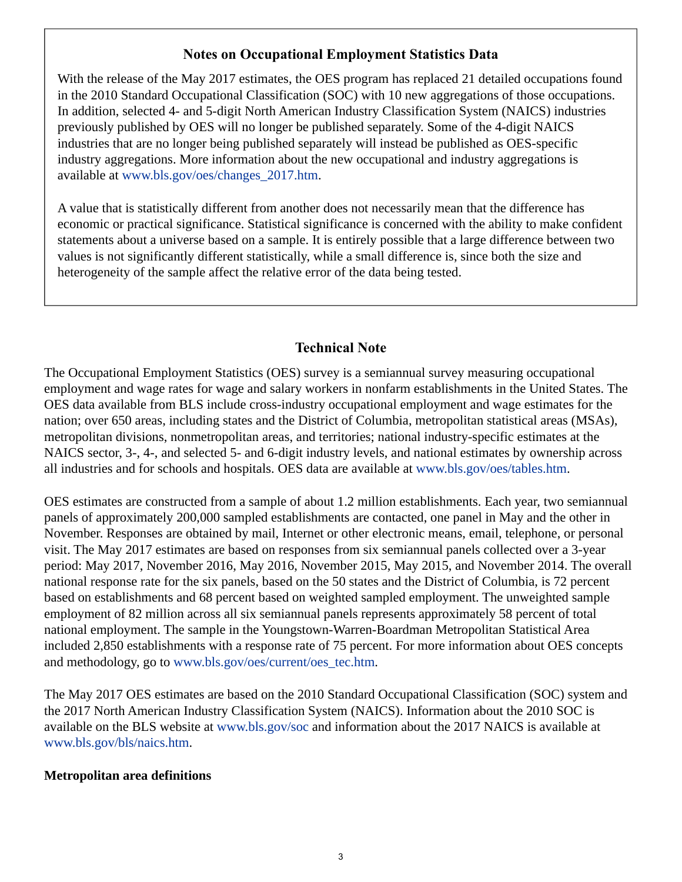### **Notes on Occupational Employment Statistics Data**

<span id="page-2-0"></span>With the release of the May 2017 estimates, the OES program has replaced 21 detailed occupations found in the 2010 Standard Occupational Classification (SOC) with 10 new aggregations of those occupations. In addition, selected 4- and 5-digit North American Industry Classification System (NAICS) industries previously published by OES will no longer be published separately. Some of the 4-digit NAICS industries that are no longer being published separately will instead be published as OES-specific industry aggregations. More information about the new occupational and industry aggregations is available at [www.bls.gov/oes/changes\\_2017.htm.](https://www.bls.gov/oes/changes_2017.htm)

A value that is statistically different from another does not necessarily mean that the difference has economic or practical significance. Statistical significance is concerned with the ability to make confident statements about a universe based on a sample. It is entirely possible that a large difference between two values is not significantly different statistically, while a small difference is, since both the size and heterogeneity of the sample affect the relative error of the data being tested.

## **Technical Note**

The Occupational Employment Statistics (OES) survey is a semiannual survey measuring occupational employment and wage rates for wage and salary workers in nonfarm establishments in the United States. The OES data available from BLS include cross-industry occupational employment and wage estimates for the nation; over 650 areas, including states and the District of Columbia, metropolitan statistical areas (MSAs), metropolitan divisions, nonmetropolitan areas, and territories; national industry-specific estimates at the NAICS sector, 3-, 4-, and selected 5- and 6-digit industry levels, and national estimates by ownership across all industries and for schools and hospitals. OES data are available at [www.bls.gov/oes/tables.htm](https://www.bls.gov/oes/tables.htm).

OES estimates are constructed from a sample of about 1.2 million establishments. Each year, two semiannual panels of approximately 200,000 sampled establishments are contacted, one panel in May and the other in November. Responses are obtained by mail, Internet or other electronic means, email, telephone, or personal visit. The May 2017 estimates are based on responses from six semiannual panels collected over a 3-year period: May 2017, November 2016, May 2016, November 2015, May 2015, and November 2014. The overall national response rate for the six panels, based on the 50 states and the District of Columbia, is 72 percent based on establishments and 68 percent based on weighted sampled employment. The unweighted sample employment of 82 million across all six semiannual panels represents approximately 58 percent of total national employment. The sample in the Youngstown-Warren-Boardman Metropolitan Statistical Area included 2,850 establishments with a response rate of 75 percent. For more information about OES concepts and methodology, go to [www.bls.gov/oes/current/oes\\_tec.htm.](https://www.bls.gov/oes/current/oes_tec.htm)

The May 2017 OES estimates are based on the 2010 Standard Occupational Classification (SOC) system and the 2017 North American Industry Classification System (NAICS). Information about the 2010 SOC is available on the BLS website at [www.bls.gov/soc](https://www.bls.gov/soc) and information about the 2017 NAICS is available at [www.bls.gov/bls/naics.htm.](https://www.bls.gov/bls/naics.htm)

### **Metropolitan area definitions**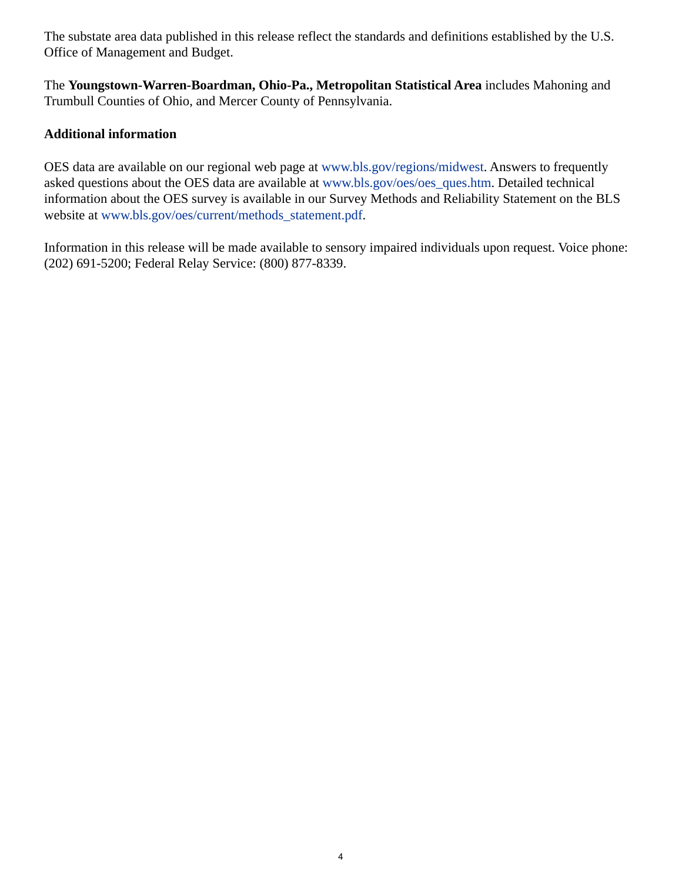The substate area data published in this release reflect the standards and definitions established by the U.S. Office of Management and Budget.

The **Youngstown-Warren-Boardman, Ohio-Pa., Metropolitan Statistical Area** includes Mahoning and Trumbull Counties of Ohio, and Mercer County of Pennsylvania.

### **Additional information**

OES data are available on our regional web page at [www.bls.gov/regions/midwest](https://www.bls.gov/regions/midwest). Answers to frequently asked questions about the OES data are available at [www.bls.gov/oes/oes\\_ques.htm](https://www.bls.gov/oes/oes_ques.htm). Detailed technical information about the OES survey is available in our Survey Methods and Reliability Statement on the BLS website at [www.bls.gov/oes/current/methods\\_statement.pdf.](https://www.bls.gov/oes/current/methods_statement.pdf)

Information in this release will be made available to sensory impaired individuals upon request. Voice phone: (202) 691-5200; Federal Relay Service: (800) 877-8339.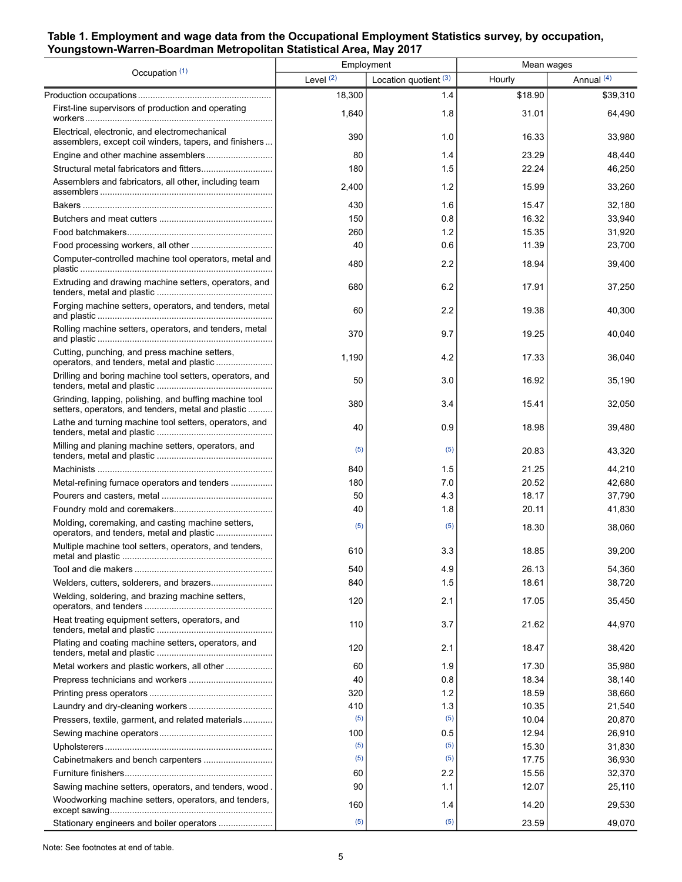### **Table 1. Employment and wage data from the Occupational Employment Statistics survey, by occupation, Youngstown-Warren-Boardman Metropolitan Statistical Area, May 2017**

| Occupation (1)                                                                                               |             | Employment              | Mean wages |            |
|--------------------------------------------------------------------------------------------------------------|-------------|-------------------------|------------|------------|
|                                                                                                              | Level $(2)$ | Location quotient $(3)$ | Hourly     | Annual (4) |
|                                                                                                              | 18,300      | 1.4                     | \$18.90    | \$39,310   |
| First-line supervisors of production and operating                                                           | 1,640       | 1.8                     | 31.01      | 64,490     |
| Electrical, electronic, and electromechanical<br>assemblers, except coil winders, tapers, and finishers      | 390         | 1.0                     | 16.33      | 33,980     |
|                                                                                                              | 80          | 1.4                     | 23.29      | 48,440     |
|                                                                                                              | 180         | 1.5                     | 22.24      | 46,250     |
| Assemblers and fabricators, all other, including team                                                        | 2,400       | 1.2                     | 15.99      | 33,260     |
|                                                                                                              | 430         | 1.6                     | 15.47      | 32,180     |
|                                                                                                              | 150         | 0.8                     | 16.32      | 33,940     |
|                                                                                                              | 260         | 1.2                     | 15.35      | 31,920     |
|                                                                                                              | 40          | 0.6                     | 11.39      | 23,700     |
| Computer-controlled machine tool operators, metal and                                                        | 480         | 2.2                     | 18.94      | 39,400     |
| Extruding and drawing machine setters, operators, and                                                        | 680         | 6.2                     | 17.91      | 37,250     |
| Forging machine setters, operators, and tenders, metal                                                       | 60          | 2.2                     | 19.38      | 40,300     |
| Rolling machine setters, operators, and tenders, metal                                                       | 370         | 9.7                     | 19.25      | 40,040     |
| Cutting, punching, and press machine setters,                                                                | 1,190       | 4.2                     | 17.33      | 36,040     |
| Drilling and boring machine tool setters, operators, and                                                     | 50          | 3.0                     | 16.92      | 35,190     |
| Grinding, lapping, polishing, and buffing machine tool<br>setters, operators, and tenders, metal and plastic | 380         | 3.4                     | 15.41      | 32,050     |
| Lathe and turning machine tool setters, operators, and                                                       | 40          | 0.9                     | 18.98      | 39,480     |
| Milling and planing machine setters, operators, and                                                          | (5)         | (5)                     | 20.83      | 43,320     |
|                                                                                                              | 840         | 1.5                     | 21.25      | 44,210     |
| Metal-refining furnace operators and tenders                                                                 | 180         | 7.0                     | 20.52      | 42,680     |
|                                                                                                              | 50          | 4.3                     | 18.17      | 37,790     |
|                                                                                                              | 40          | 1.8                     | 20.11      | 41,830     |
| Molding, coremaking, and casting machine setters,                                                            | (5)         | (5)                     | 18.30      | 38,060     |
| Multiple machine tool setters, operators, and tenders,                                                       | 610         | 3.3                     | 18.85      | 39,200     |
|                                                                                                              | 540         | 4.9                     | 26.13      | 54,360     |
|                                                                                                              | 840         | 1.5                     | 18.61      | 38,720     |
| Welding, soldering, and brazing machine setters,                                                             | 120         | 2.1                     | 17.05      | 35,450     |
| Heat treating equipment setters, operators, and                                                              | 110         | 3.7                     | 21.62      | 44,970     |
| Plating and coating machine setters, operators, and                                                          | 120         | 2.1                     | 18.47      | 38,420     |
| Metal workers and plastic workers, all other                                                                 | 60          | 1.9                     | 17.30      | 35,980     |
|                                                                                                              | 40          | 0.8                     | 18.34      | 38,140     |
|                                                                                                              | 320         | 1.2                     | 18.59      | 38,660     |
|                                                                                                              | 410         | 1.3                     | 10.35      | 21,540     |
| Pressers, textile, garment, and related materials                                                            | (5)         | (5)                     | 10.04      | 20,870     |
|                                                                                                              | 100         | 0.5                     | 12.94      | 26,910     |
|                                                                                                              | (5)         | (5)                     | 15.30      | 31,830     |
|                                                                                                              | (5)         | (5)                     | 17.75      | 36,930     |
|                                                                                                              | 60          | 2.2                     | 15.56      | 32,370     |
| Sawing machine setters, operators, and tenders, wood.                                                        | 90          | 1.1                     | 12.07      | 25,110     |
| Woodworking machine setters, operators, and tenders,                                                         | 160         | 1.4                     | 14.20      | 29,530     |
| Stationary engineers and boiler operators                                                                    | (5)         | (5)                     | 23.59      | 49,070     |

Note: See footnotes at end of table.